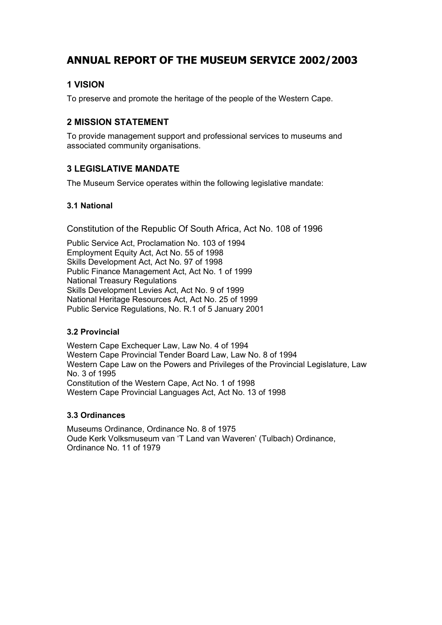# **ANNUAL REPORT OF THE MUSEUM SERVICE 2002/2003**

# **1 VISION**

To preserve and promote the heritage of the people of the Western Cape.

# **2 MISSION STATEMENT**

To provide management support and professional services to museums and associated community organisations.

# **3 LEGISLATIVE MANDATE**

The Museum Service operates within the following legislative mandate:

### **3.1 National**

Constitution of the Republic Of South Africa, Act No. 108 of 1996

Public Service Act, Proclamation No. 103 of 1994 Employment Equity Act, Act No. 55 of 1998 Skills Development Act, Act No. 97 of 1998 Public Finance Management Act, Act No. 1 of 1999 National Treasury Regulations Skills Development Levies Act, Act No. 9 of 1999 National Heritage Resources Act, Act No. 25 of 1999 Public Service Regulations, No. R.1 of 5 January 2001

### **3.2 Provincial**

Western Cape Exchequer Law, Law No. 4 of 1994 Western Cape Provincial Tender Board Law, Law No. 8 of 1994 Western Cape Law on the Powers and Privileges of the Provincial Legislature, Law No. 3 of 1995 Constitution of the Western Cape, Act No. 1 of 1998 Western Cape Provincial Languages Act, Act No. 13 of 1998

### **3.3 Ordinances**

Museums Ordinance, Ordinance No. 8 of 1975 Oude Kerk Volksmuseum van 'T Land van Waveren' (Tulbach) Ordinance, Ordinance No. 11 of 1979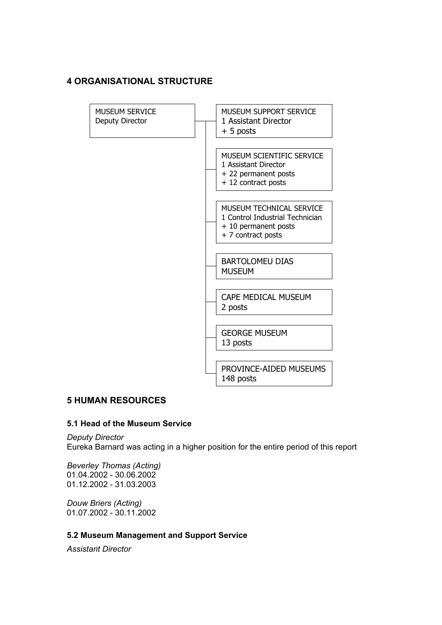### **4 ORGANISATIONAL STRUCTURE**



### **5 HUMAN RESOURCES**

#### **5.1 Head of the Museum Service**

*Deputy Director*  Eureka Barnard was acting in a higher position for the entire period of this report

*Beverley Thomas (Acting)* 01.04.2002 - 30.06.2002 01.12.2002 - 31.03.2003

*Douw Briers (Acting)* 01.07.2002 - 30.11.2002

#### **5.2 Museum Management and Support Service**

*Assistant Director*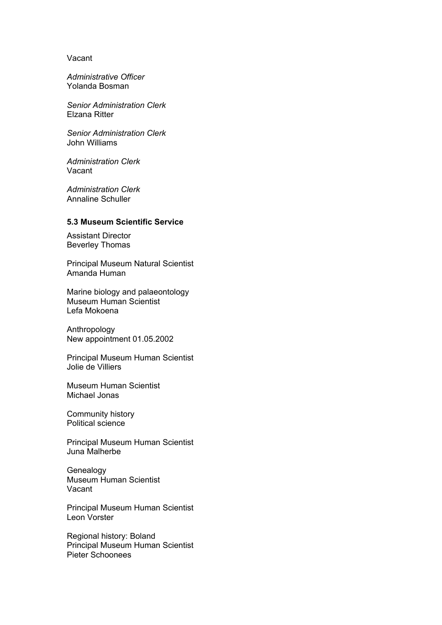#### Vacant

*Administrative Officer*  Yolanda Bosman

*Senior Administration Clerk*  Elzana Ritter

*Senior Administration Clerk*  John Williams

*Administration Clerk*  Vacant

*Administration Clerk*  Annaline Schuller

#### **5.3 Museum Scientific Service**

Assistant Director Beverley Thomas

Principal Museum Natural Scientist Amanda Human

Marine biology and palaeontology Museum Human Scientist Lefa Mokoena

Anthropology New appointment 01.05.2002

Principal Museum Human Scientist Jolie de Villiers

Museum Human Scientist Michael Jonas

Community history Political science

Principal Museum Human Scientist Juna Malherbe

Genealogy Museum Human Scientist Vacant

Principal Museum Human Scientist Leon Vorster

Regional history: Boland Principal Museum Human Scientist Pieter Schoonees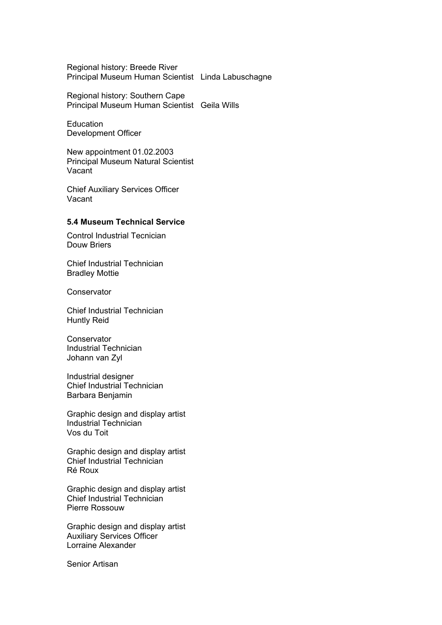Regional history: Breede River Principal Museum Human Scientist Linda Labuschagne

Regional history: Southern Cape Principal Museum Human Scientist Geila Wills

**Education** Development Officer

New appointment 01.02.2003 Principal Museum Natural Scientist Vacant

Chief Auxiliary Services Officer Vacant

#### **5.4 Museum Technical Service**

Control Industrial Tecnician Douw Briers

Chief Industrial Technician Bradley Mottie

**Conservator** 

Chief Industrial Technician Huntly Reid

**Conservator** Industrial Technician Johann van Zyl

Industrial designer Chief Industrial Technician Barbara Benjamin

Graphic design and display artist Industrial Technician Vos du Toit

Graphic design and display artist Chief Industrial Technician Ré Roux

Graphic design and display artist Chief Industrial Technician Pierre Rossouw

Graphic design and display artist Auxiliary Services Officer Lorraine Alexander

Senior Artisan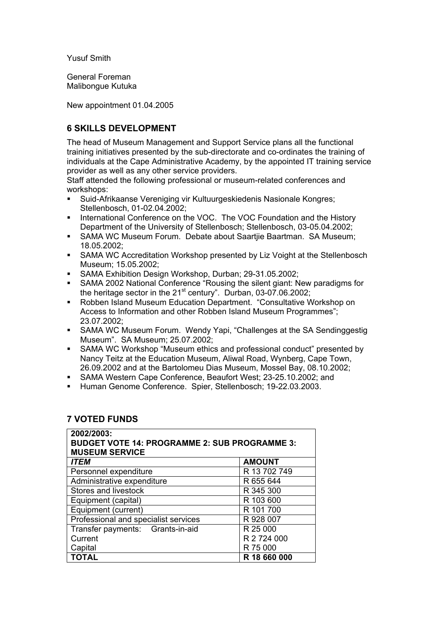Yusuf Smith

General Foreman Malibongue Kutuka

New appointment 01.04.2005

# **6 SKILLS DEVELOPMENT**

The head of Museum Management and Support Service plans all the functional training initiatives presented by the sub-directorate and co-ordinates the training of individuals at the Cape Administrative Academy, by the appointed IT training service provider as well as any other service providers.

Staff attended the following professional or museum-related conferences and workshops:

- Suid-Afrikaanse Vereniging vir Kultuurgeskiedenis Nasionale Kongres; Stellenbosch, 01-02.04.2002;
- International Conference on the VOC. The VOC Foundation and the History Department of the University of Stellenbosch; Stellenbosch, 03-05.04.2002;
- SAMA WC Museum Forum. Debate about Saartjie Baartman. SA Museum; 18.05.2002;
- SAMA WC Accreditation Workshop presented by Liz Voight at the Stellenbosch Museum; 15.05.2002;
- SAMA Exhibition Design Workshop, Durban; 29-31.05.2002;<br>SAMA 2002 National Conference "Rousing the silent giant: N
- SAMA 2002 National Conference "Rousing the silent giant: New paradigms for the heritage sector in the 21<sup>st</sup> century". Durban, 03-07.06.2002;
- Robben Island Museum Education Department. "Consultative Workshop on Access to Information and other Robben Island Museum Programmes"; 23.07.2002;
- SAMA WC Museum Forum. Wendy Yapi, "Challenges at the SA Sendinggestig Museum". SA Museum; 25.07.2002;
- SAMA WC Workshop "Museum ethics and professional conduct" presented by Nancy Teitz at the Education Museum, Aliwal Road, Wynberg, Cape Town, 26.09.2002 and at the Bartolomeu Dias Museum, Mossel Bay, 08.10.2002;
- SAMA Western Cape Conference, Beaufort West; 23-25.10.2002; and
- Human Genome Conference. Spier, Stellenbosch; 19-22.03.2003.

### **7 VOTED FUNDS**

| 2002/2003:<br><b>BUDGET VOTE 14: PROGRAMME 2: SUB PROGRAMME 3:</b><br><b>MUSEUM SERVICE</b> |               |  |  |  |
|---------------------------------------------------------------------------------------------|---------------|--|--|--|
| <b>ITEM</b>                                                                                 | <b>AMOUNT</b> |  |  |  |
| Personnel expenditure                                                                       | R 13 702 749  |  |  |  |
| Administrative expenditure                                                                  | R 655 644     |  |  |  |
| Stores and livestock                                                                        | R 345 300     |  |  |  |
| Equipment (capital)                                                                         | R 103 600     |  |  |  |
| Equipment (current)                                                                         | R 101 700     |  |  |  |
| Professional and specialist services                                                        | R 928 007     |  |  |  |
| Transfer payments: Grants-in-aid                                                            | R 25 000      |  |  |  |
| Current                                                                                     | R 2 724 000   |  |  |  |
| Capital                                                                                     | R 75 000      |  |  |  |
| <b>TOTAL</b>                                                                                | R 18 660 000  |  |  |  |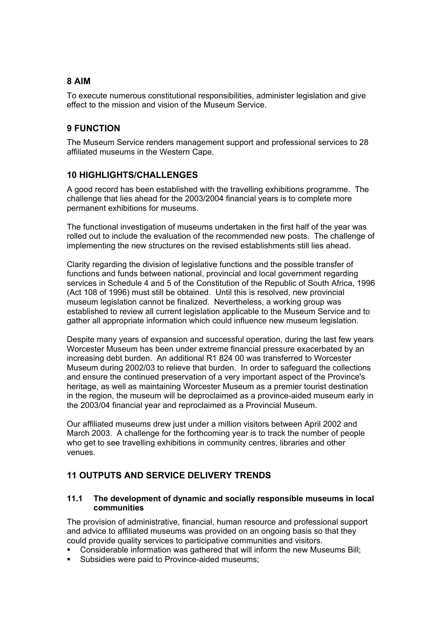# **8 AIM**

To execute numerous constitutional responsibilities, administer legislation and give effect to the mission and vision of the Museum Service.

# **9 FUNCTION**

The Museum Service renders management support and professional services to 28 affiliated museums in the Western Cape.

### **10 HIGHLIGHTS/CHALLENGES**

A good record has been established with the travelling exhibitions programme. The challenge that lies ahead for the 2003/2004 financial years is to complete more permanent exhibitions for museums.

The functional investigation of museums undertaken in the first half of the year was rolled out to include the evaluation of the recommended new posts. The challenge of implementing the new structures on the revised establishments still lies ahead.

Clarity regarding the division of legislative functions and the possible transfer of functions and funds between national, provincial and local government regarding services in Schedule 4 and 5 of the Constitution of the Republic of South Africa, 1996 (Act 108 of 1996) must still be obtained. Until this is resolved, new provincial museum legislation cannot be finalized. Nevertheless, a working group was established to review all current legislation applicable to the Museum Service and to gather all appropriate information which could influence new museum legislation.

Despite many years of expansion and successful operation, during the last few years Worcester Museum has been under extreme financial pressure exacerbated by an increasing debt burden. An additional R1 824 00 was transferred to Worcester Museum during 2002/03 to relieve that burden. In order to safeguard the collections and ensure the continued preservation of a very important aspect of the Province's heritage, as well as maintaining Worcester Museum as a premier tourist destination in the region, the museum will be deproclaimed as a province-aided museum early in the 2003/04 financial year and reproclaimed as a Provincial Museum.

Our affiliated museums drew just under a million visitors between April 2002 and March 2003. A challenge for the forthcoming year is to track the number of people who get to see travelling exhibitions in community centres, libraries and other venues.

### **11 OUTPUTS AND SERVICE DELIVERY TRENDS**

#### **11.1 The development of dynamic and socially responsible museums in local communities**

The provision of administrative, financial, human resource and professional support and advice to affiliated museums was provided on an ongoing basis so that they could provide quality services to participative communities and visitors.

- Considerable information was gathered that will inform the new Museums Bill;
- Subsidies were paid to Province-aided museums;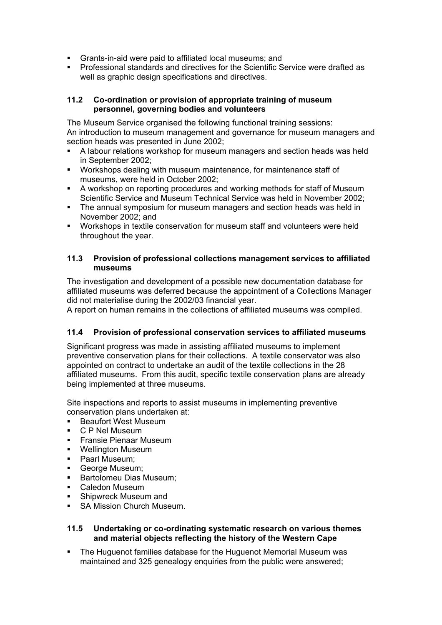- Grants-in-aid were paid to affiliated local museums; and
- Professional standards and directives for the Scientific Service were drafted as well as graphic design specifications and directives.

#### **11.2 Co-ordination or provision of appropriate training of museum personnel, governing bodies and volunteers**

The Museum Service organised the following functional training sessions: An introduction to museum management and governance for museum managers and section heads was presented in June 2002;

- A labour relations workshop for museum managers and section heads was held in September 2002;
- Workshops dealing with museum maintenance, for maintenance staff of museums, were held in October 2002;
- A workshop on reporting procedures and working methods for staff of Museum Scientific Service and Museum Technical Service was held in November 2002;
- The annual symposium for museum managers and section heads was held in November 2002; and
- Workshops in textile conservation for museum staff and volunteers were held throughout the year.

#### **11.3 Provision of professional collections management services to affiliated museums**

The investigation and development of a possible new documentation database for affiliated museums was deferred because the appointment of a Collections Manager did not materialise during the 2002/03 financial year.

A report on human remains in the collections of affiliated museums was compiled.

### **11.4 Provision of professional conservation services to affiliated museums**

Significant progress was made in assisting affiliated museums to implement preventive conservation plans for their collections. A textile conservator was also appointed on contract to undertake an audit of the textile collections in the 28 affiliated museums. From this audit, specific textile conservation plans are already being implemented at three museums.

Site inspections and reports to assist museums in implementing preventive conservation plans undertaken at:

- **Beaufort West Museum**
- C P Nel Museum
- Fransie Pienaar Museum
- **Wellington Museum**
- **Paarl Museum;**
- George Museum;
- **Bartolomeu Dias Museum:**
- Caledon Museum
- Shipwreck Museum and
- **SA Mission Church Museum.**

#### **11.5 Undertaking or co-ordinating systematic research on various themes and material objects reflecting the history of the Western Cape**

 The Huguenot families database for the Huguenot Memorial Museum was maintained and 325 genealogy enquiries from the public were answered;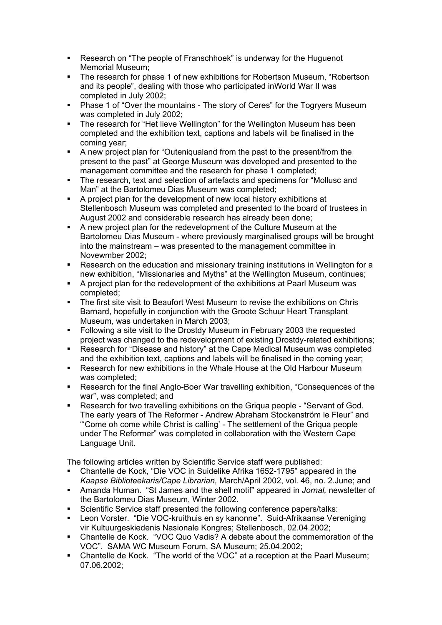- **Research on "The people of Franschhoek" is underway for the Huguenot** Memorial Museum;
- The research for phase 1 of new exhibitions for Robertson Museum, "Robertson and its people", dealing with those who participated inWorld War II was completed in July 2002;
- **Phase 1 of "Over the mountains The story of Ceres" for the Togryers Museum** was completed in July 2002;
- The research for "Het lieve Wellington" for the Wellington Museum has been completed and the exhibition text, captions and labels will be finalised in the coming year;
- A new project plan for "Outeniqualand from the past to the present/from the present to the past" at George Museum was developed and presented to the management committee and the research for phase 1 completed;
- The research, text and selection of artefacts and specimens for "Mollusc and Man" at the Bartolomeu Dias Museum was completed;
- A project plan for the development of new local history exhibitions at Stellenbosch Museum was completed and presented to the board of trustees in August 2002 and considerable research has already been done;
- A new project plan for the redevelopment of the Culture Museum at the Bartolomeu Dias Museum - where previously marginalised groups will be brought into the mainstream – was presented to the management committee in Novewmber 2002;
- Research on the education and missionary training institutions in Wellington for a new exhibition, "Missionaries and Myths" at the Wellington Museum, continues;
- A project plan for the redevelopment of the exhibitions at Paarl Museum was completed;
- The first site visit to Beaufort West Museum to revise the exhibitions on Chris Barnard, hopefully in conjunction with the Groote Schuur Heart Transplant Museum, was undertaken in March 2003;
- Following a site visit to the Drostdy Museum in February 2003 the requested project was changed to the redevelopment of existing Drostdy-related exhibitions;
- Research for "Disease and history" at the Cape Medical Museum was completed and the exhibition text, captions and labels will be finalised in the coming year;
- Research for new exhibitions in the Whale House at the Old Harbour Museum was completed;
- Research for the final Anglo-Boer War travelling exhibition, "Consequences of the war", was completed; and
- Research for two travelling exhibitions on the Griqua people "Servant of God. The early years of The Reformer - Andrew Abraham Stockenström le Fleur" and "'Come oh come while Christ is calling' - The settlement of the Griqua people under The Reformer" was completed in collaboration with the Western Cape Language Unit.

The following articles written by Scientific Service staff were published:

- Chantelle de Kock, "Die VOC in Suidelike Afrika 1652-1795" appeared in the *Kaapse Biblioteekaris/Cape Librarian,* March/April 2002, vol. 46, no. 2.June; and
- Amanda Human. "St James and the shell motif" appeared in *Jornal,* newsletter of the Bartolomeu Dias Museum, Winter 2002.
- Scientific Service staff presented the following conference papers/talks:
- Leon Vorster. "Die VOC-kruithuis en sy kanonne". Suid-Afrikaanse Vereniging vir Kultuurgeskiedenis Nasionale Kongres; Stellenbosch, 02.04.2002;
- Chantelle de Kock. "VOC Quo Vadis? A debate about the commemoration of the VOC". SAMA WC Museum Forum, SA Museum; 25.04.2002;
- Chantelle de Kock. "The world of the VOC" at a reception at the Paarl Museum; 07.06.2002;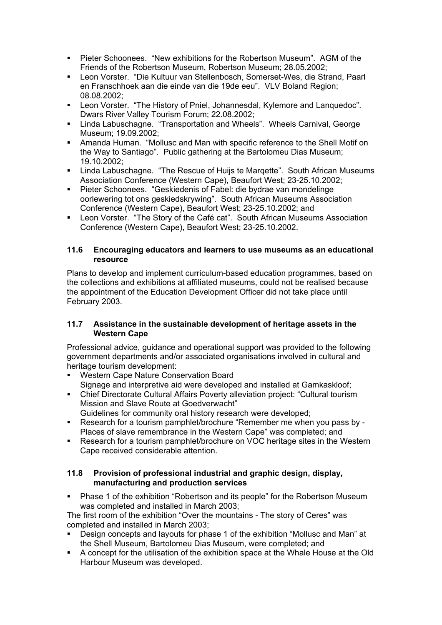- Pieter Schoonees. "New exhibitions for the Robertson Museum". AGM of the Friends of the Robertson Museum, Robertson Museum; 28.05.2002;
- Leon Vorster. "Die Kultuur van Stellenbosch, Somerset-Wes, die Strand, Paarl en Franschhoek aan die einde van die 19de eeu". VLV Boland Region; 08.08.2002;
- Leon Vorster. "The History of Pniel, Johannesdal, Kylemore and Lanquedoc". Dwars River Valley Tourism Forum; 22.08.2002;
- Linda Labuschagne. "Transportation and Wheels". Wheels Carnival, George Museum; 19.09.2002;
- Amanda Human. "Mollusc and Man with specific reference to the Shell Motif on the Way to Santiago". Public gathering at the Bartolomeu Dias Museum; 19.10.2002;
- **E.** Linda Labuschagne. "The Rescue of Huijs te Marqette". South African Museums Association Conference (Western Cape), Beaufort West; 23-25.10.2002;
- Pieter Schoonees. "Geskiedenis of Fabel: die bydrae van mondelinge oorlewering tot ons geskiedskrywing". South African Museums Association Conference (Western Cape), Beaufort West; 23-25.10.2002; and
- Leon Vorster. "The Story of the Café cat". South African Museums Association Conference (Western Cape), Beaufort West; 23-25.10.2002.

#### **11.6 Encouraging educators and learners to use museums as an educational resource**

Plans to develop and implement curriculum-based education programmes, based on the collections and exhibitions at affiliated museums, could not be realised because the appointment of the Education Development Officer did not take place until February 2003.

### **11.7 Assistance in the sustainable development of heritage assets in the Western Cape**

Professional advice, guidance and operational support was provided to the following government departments and/or associated organisations involved in cultural and heritage tourism development:

- **Western Cape Nature Conservation Board** Signage and interpretive aid were developed and installed at Gamkaskloof;
- Chief Directorate Cultural Affairs Poverty alleviation project: "Cultural tourism Mission and Slave Route at Goedverwacht"
- Guidelines for community oral history research were developed; Research for a tourism pamphlet/brochure "Remember me when you pass by -
- Places of slave remembrance in the Western Cape" was completed; and Research for a tourism pamphlet/brochure on VOC heritage sites in the Western Cape received considerable attention.

### **11.8 Provision of professional industrial and graphic design, display, manufacturing and production services**

 Phase 1 of the exhibition "Robertson and its people" for the Robertson Museum was completed and installed in March 2003;

The first room of the exhibition "Over the mountains - The story of Ceres" was completed and installed in March 2003;

- Design concepts and layouts for phase 1 of the exhibition "Mollusc and Man" at the Shell Museum, Bartolomeu Dias Museum, were completed; and
- A concept for the utilisation of the exhibition space at the Whale House at the Old Harbour Museum was developed.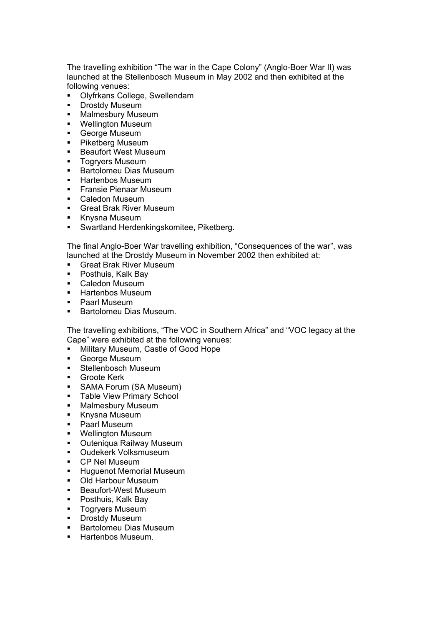The travelling exhibition "The war in the Cape Colony" (Anglo-Boer War II) was launched at the Stellenbosch Museum in May 2002 and then exhibited at the following venues:

- **Olyfrkans College, Swellendam**
- **-** Drostdy Museum
- **Malmesbury Museum**
- **Wellington Museum**
- George Museum
- **Piketberg Museum**
- **Beaufort West Museum**
- **Togrvers Museum**
- **Bartolomeu Dias Museum**
- **Hartenbos Museum**
- **Fransie Pienaar Museum**
- Caledon Museum
- **Great Brak River Museum**
- **Knysna Museum**
- Swartland Herdenkingskomitee, Piketberg.

The final Anglo-Boer War travelling exhibition, "Consequences of the war", was launched at the Drostdy Museum in November 2002 then exhibited at:

- **Great Brak River Museum**
- Posthuis, Kalk Bav
- Caledon Museum
- **-** Hartenbos Museum
- Paarl Museum
- **Bartolomeu Dias Museum.**

The travelling exhibitions, "The VOC in Southern Africa" and "VOC legacy at the Cape" were exhibited at the following venues:

- **Military Museum, Castle of Good Hope**<br>**E** George Museum
- George Museum
- **Stellenbosch Museum**
- **Groote Kerk**
- SAMA Forum (SA Museum)
- **Table View Primary School**
- **Malmesbury Museum**
- **Knysna Museum**
- Paarl Museum
- **•** Wellington Museum
- **Outeniqua Railway Museum**
- **Oudekerk Volksmuseum**
- CP Nel Museum
- **-** Huguenot Memorial Museum
- Old Harbour Museum
- Beaufort-West Museum
- **Posthuis, Kalk Bay**
- **Togryers Museum**<br>• Drostdy Museum
- Drostdy Museum
- **Bartolomeu Dias Museum**
- **Hartenbos Museum.**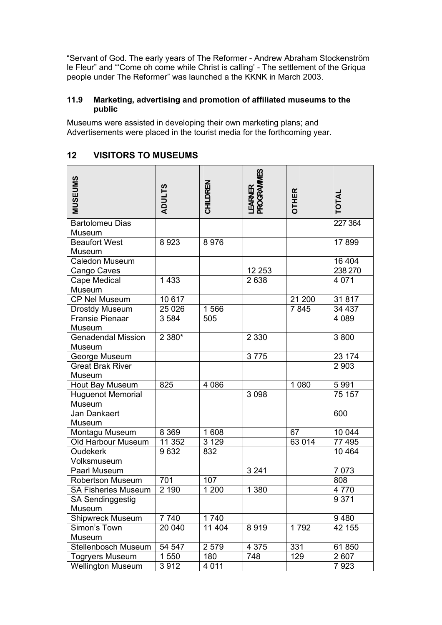"Servant of God. The early years of The Reformer - Andrew Abraham Stockenström le Fleur" and "'Come oh come while Christ is calling' - The settlement of the Griqua people under The Reformer" was launched a the KKNK in March 2003.

#### **11.9 Marketing, advertising and promotion of affiliated museums to the public**

Museums were assisted in developing their own marketing plans; and Advertisements were placed in the tourist media for the forthcoming year.

### **12 VISITORS TO MUSEUMS**

| <b>MUSEUMS</b>                     | <b>ADULTS</b> | CHILDREN | <b>PROGRAMMES</b><br>EARNER | <b>OTHER</b> | TOTAL             |
|------------------------------------|---------------|----------|-----------------------------|--------------|-------------------|
| <b>Bartolomeu Dias</b>             |               |          |                             |              | 227 364           |
| Museum                             |               |          |                             |              |                   |
| <b>Beaufort West</b>               | 8923          | 8976     |                             |              | 17899             |
| Museum                             |               |          |                             |              |                   |
| Caledon Museum                     |               |          |                             |              | 16 404            |
| Cango Caves                        |               |          | 12 253                      |              | 238 270           |
| Cape Medical                       | 1 4 3 3       |          | 2638                        |              | 4 0 7 1           |
| Museum                             |               |          |                             |              |                   |
| <b>CP Nel Museum</b>               | 10 617        |          |                             | 21 200       | 31817             |
| <b>Drostdy Museum</b>              | 25 0 26       | 1566     |                             | 7845         | 34 437            |
| <b>Fransie Pienaar</b>             | 3 5 8 4       | 505      |                             |              | 4 0 8 9           |
| Museum                             |               |          |                             |              |                   |
| <b>Genadendal Mission</b>          | 2 380*        |          | 2 3 3 0                     |              | 3800              |
| Museum                             |               |          |                             |              |                   |
| George Museum                      |               |          | 3775                        |              | 23 174            |
| <b>Great Brak River</b>            |               |          |                             |              | 2 9 0 3           |
| Museum                             |               |          |                             |              |                   |
| Hout Bay Museum                    | 825           | 4 0 8 6  |                             | 1 0 8 0      | 5991              |
| <b>Huguenot Memorial</b><br>Museum |               |          | 3 0 9 8                     |              | 75 157            |
| Jan Dankaert                       |               |          |                             |              | 600               |
| Museum                             |               |          |                             |              |                   |
| Montagu Museum                     | 8 3 6 9       | 1 608    |                             | 67           | 10 044            |
| Old Harbour Museum                 | 11 352        | 3 1 2 9  |                             | 63 014       | 77 495            |
| <b>Oudekerk</b>                    | 9632          | 832      |                             |              | 10 4 64           |
| Volksmuseum                        |               |          |                             |              |                   |
| Paarl Museum                       |               |          | 3 2 4 1                     |              | 7 0 7 3           |
| <b>Robertson Museum</b>            | 701           | 107      |                             |              | 808               |
| <b>SA Fisheries Museum</b>         | 2 1 9 0       | 1 200    | 1 3 8 0                     |              | 4770              |
| SA Sendinggestig                   |               |          |                             |              | 9 3 7 1           |
| Museum                             |               |          |                             |              |                   |
| Shipwreck Museum                   | 7740          | 1740     |                             |              | 9480              |
| Simon's Town                       | 20 040        | 11 404   | 8919                        | 1792         | 42 155            |
| Museum                             |               |          |                             |              |                   |
| Stellenbosch Museum                | 54 547        | 2 5 7 9  | 4 3 7 5                     | 331          | 61850             |
| <b>Togryers Museum</b>             | 1 550         | 180      | 748                         | 129          | 2607              |
| <b>Wellington Museum</b>           | 3912          | 4 0 1 1  |                             |              | $\frac{1}{7}$ 923 |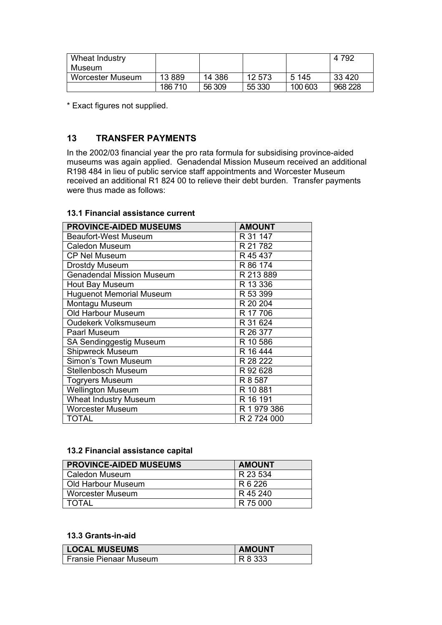| Wheat Industry   |         |        |        |         | 4 7 9 2 |
|------------------|---------|--------|--------|---------|---------|
| Museum           |         |        |        |         |         |
| Worcester Museum | 13889   | 14 386 | 12 573 | 5 1 4 5 | 33 4 20 |
|                  | 186 710 | 56 309 | 55 330 | 100 603 | 968 228 |

\* Exact figures not supplied.

# **13 TRANSFER PAYMENTS**

In the 2002/03 financial year the pro rata formula for subsidising province-aided museums was again applied. Genadendal Mission Museum received an additional R198 484 in lieu of public service staff appointments and Worcester Museum received an additional R1 824 00 to relieve their debt burden. Transfer payments were thus made as follows:

#### **13.1 Financial assistance current**

| <b>PROVINCE-AIDED MUSEUMS</b>    | <b>AMOUNT</b> |
|----------------------------------|---------------|
| Beaufort-West Museum             | R 31 147      |
| <b>Caledon Museum</b>            | R 21 782      |
| <b>CP Nel Museum</b>             | R 45 437      |
| Drostdy Museum                   | R 86 174      |
| <b>Genadendal Mission Museum</b> | R 213 889     |
| <b>Hout Bay Museum</b>           | R 13 336      |
| <b>Huguenot Memorial Museum</b>  | R 53 399      |
| Montagu Museum                   | R 20 204      |
| Old Harbour Museum               | R 17 706      |
| <b>Oudekerk Volksmuseum</b>      | R 31 624      |
| <b>Paarl Museum</b>              | R 26 377      |
| <b>SA Sendinggestig Museum</b>   | R 10 586      |
| Shipwreck Museum                 | R 16 444      |
| Simon's Town Museum              | R 28 222      |
| Stellenbosch Museum              | R 92 628      |
| <b>Togryers Museum</b>           | R 8 587       |
| <b>Wellington Museum</b>         | R 10 881      |
| Wheat Industry Museum            | R 16 191      |
| <b>Worcester Museum</b>          | R 1 979 386   |
| TOTAL                            | R 2 724 000   |

#### **13.2 Financial assistance capital**

| <b>PROVINCE-AIDED MUSEUMS</b> | <b>AMOUNT</b> |
|-------------------------------|---------------|
| Caledon Museum                | R 23 534      |
| Old Harbour Museum            | R 6 226       |
| <b>Worcester Museum</b>       | R 45 240      |
| TOTAI                         | R 75 000      |

### **13.3 Grants-in-aid**

| <b>LOCAL MUSEUMS</b>   | <b>AMOUNT</b> |
|------------------------|---------------|
| Fransie Pienaar Museum | R 8 333       |